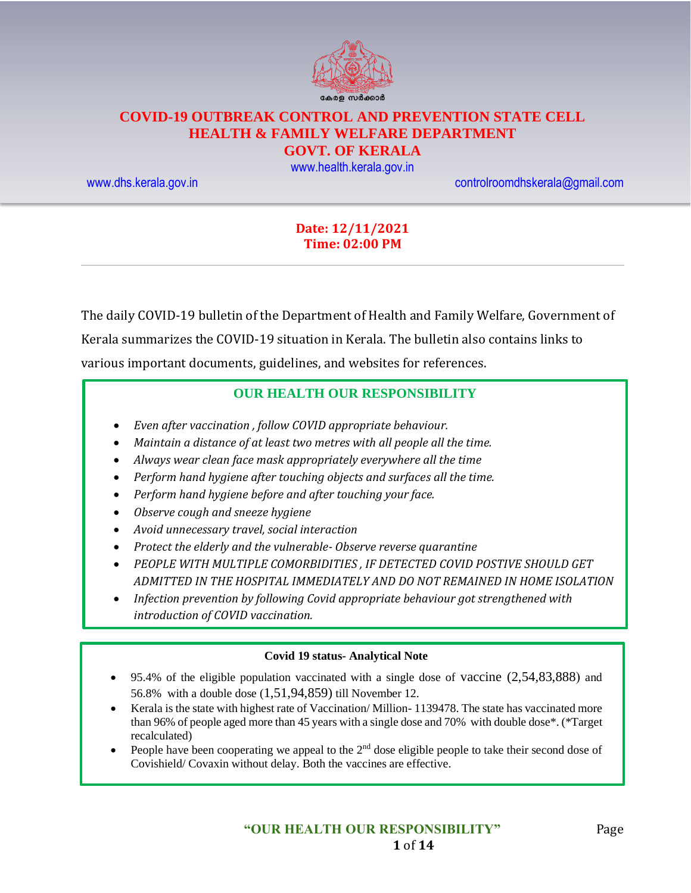

## **COVID-19 OUTBREAK CONTROL AND PREVENTION STATE CELL HEALTH & FAMILY WELFARE DEPARTMENT**

#### **GOVT. OF KERALA**

[www.health.kerala.gov.in](file:///D:/My%20Documents/Mahesh%20-%20Dont%20Delete/Assistant%20Surgeon/Aardram%20Mission/Projects/COVID%20Control%20Room/Bulletin%20Format%20New/www.health.kerala.gov.in)

[www.dhs.kerala.gov.in](http://www.dhs.kerala.gov.in/) [controlroomdhskerala@gmail.com](mailto:controlroomdhskerala@gmail.com)

#### **Date: 12/11/2021 Time: 02:00 PM**

The daily COVID-19 bulletin of the Department of Health and Family Welfare, Government of Kerala summarizes the COVID-19 situation in Kerala. The bulletin also contains links to various important documents, guidelines, and websites for references.

#### **OUR HEALTH OUR RESPONSIBILITY**

- *Even after vaccination , follow COVID appropriate behaviour.*
- *Maintain a distance of at least two metres with all people all the time.*
- *Always wear clean face mask appropriately everywhere all the time*
- *Perform hand hygiene after touching objects and surfaces all the time.*
- *Perform hand hygiene before and after touching your face.*
- *Observe cough and sneeze hygiene*
- *Avoid unnecessary travel, social interaction*
- *Protect the elderly and the vulnerable- Observe reverse quarantine*
- *PEOPLE WITH MULTIPLE COMORBIDITIES , IF DETECTED COVID POSTIVE SHOULD GET ADMITTED IN THE HOSPITAL IMMEDIATELY AND DO NOT REMAINED IN HOME ISOLATION*
- *Infection prevention by following Covid appropriate behaviour got strengthened with introduction of COVID vaccination.*

#### **Covid 19 status- Analytical Note**

- 95.4% of the eligible population vaccinated with a single dose of vaccine (2,54,83,888) and 56.8% with a double dose (1,51,94,859) till November 12.
- Kerala is the state with highest rate of Vaccination/ Million- 1139478. The state has vaccinated more than 96% of people aged more than 45 years with a single dose and 70% with double dose\*. (\*Target recalculated)
- People have been cooperating we appeal to the  $2<sup>nd</sup>$  dose eligible people to take their second dose of Covishield/ Covaxin without delay. Both the vaccines are effective.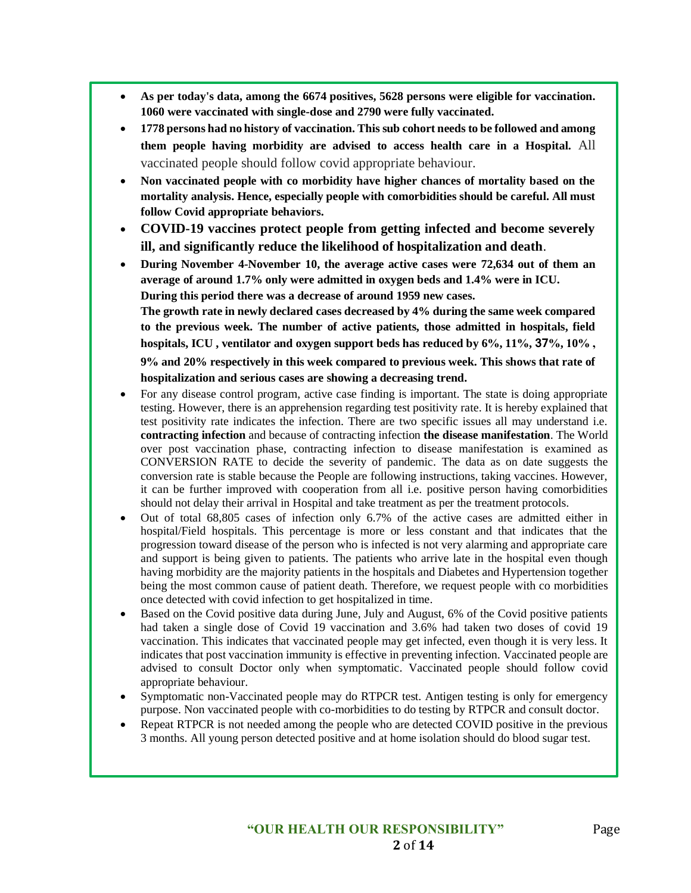- **As per today's data, among the 6674 positives, 5628 persons were eligible for vaccination. 1060 were vaccinated with single-dose and 2790 were fully vaccinated.**
- **1778 persons had no history of vaccination. This sub cohort needs to be followed and among them people having morbidity are advised to access health care in a Hospital.** All vaccinated people should follow covid appropriate behaviour.
- **Non vaccinated people with co morbidity have higher chances of mortality based on the mortality analysis. Hence, especially people with comorbidities should be careful. All must follow Covid appropriate behaviors.**
- **COVID-19 vaccines protect people from getting infected and become severely ill, and significantly reduce the likelihood of hospitalization and death**.
- **During November 4-November 10, the average active cases were 72,634 out of them an average of around 1.7% only were admitted in oxygen beds and 1.4% were in ICU. During this period there was a decrease of around 1959 new cases. The growth rate in newly declared cases decreased by 4% during the same week compared to the previous week. The number of active patients, those admitted in hospitals, field hospitals, ICU , ventilator and oxygen support beds has reduced by 6%, 11%, 37%, 10% , 9% and 20% respectively in this week compared to previous week. This shows that rate of hospitalization and serious cases are showing a decreasing trend.**
- For any disease control program, active case finding is important. The state is doing appropriate testing. However, there is an apprehension regarding test positivity rate. It is hereby explained that test positivity rate indicates the infection. There are two specific issues all may understand i.e. **contracting infection** and because of contracting infection **the disease manifestation**. The World over post vaccination phase, contracting infection to disease manifestation is examined as CONVERSION RATE to decide the severity of pandemic. The data as on date suggests the conversion rate is stable because the People are following instructions, taking vaccines. However, it can be further improved with cooperation from all i.e. positive person having comorbidities should not delay their arrival in Hospital and take treatment as per the treatment protocols.
- Out of total 68,805 cases of infection only 6.7% of the active cases are admitted either in hospital/Field hospitals. This percentage is more or less constant and that indicates that the progression toward disease of the person who is infected is not very alarming and appropriate care and support is being given to patients. The patients who arrive late in the hospital even though having morbidity are the majority patients in the hospitals and Diabetes and Hypertension together being the most common cause of patient death. Therefore, we request people with co morbidities once detected with covid infection to get hospitalized in time.
- Based on the Covid positive data during June, July and August, 6% of the Covid positive patients had taken a single dose of Covid 19 vaccination and 3.6% had taken two doses of covid 19 vaccination. This indicates that vaccinated people may get infected, even though it is very less. It indicates that post vaccination immunity is effective in preventing infection. Vaccinated people are advised to consult Doctor only when symptomatic. Vaccinated people should follow covid appropriate behaviour.
- Symptomatic non-Vaccinated people may do RTPCR test. Antigen testing is only for emergency purpose. Non vaccinated people with co-morbidities to do testing by RTPCR and consult doctor.
- Repeat RTPCR is not needed among the people who are detected COVID positive in the previous 3 months. All young person detected positive and at home isolation should do blood sugar test.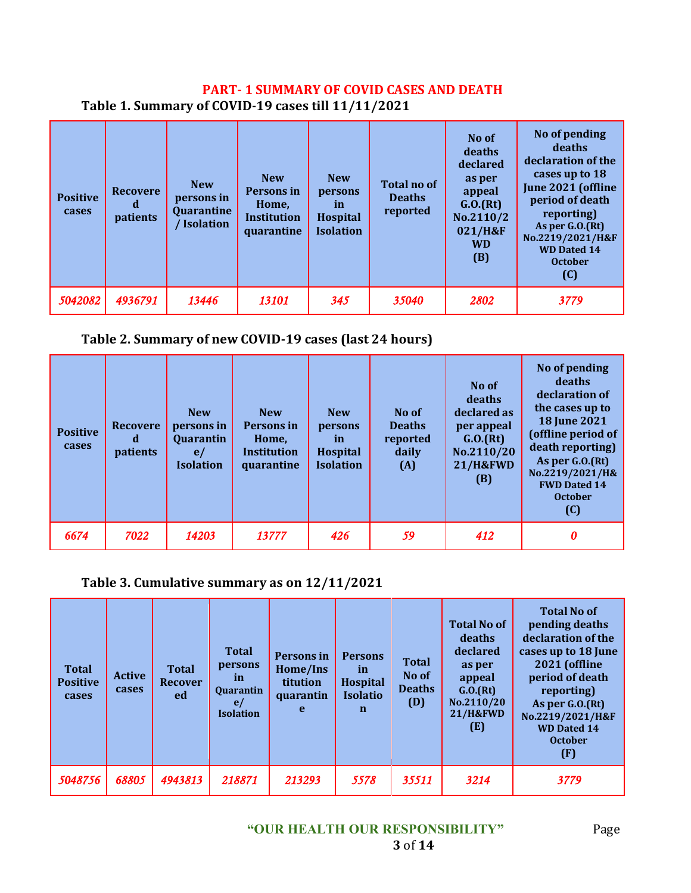### **PART- 1 SUMMARY OF COVID CASES AND DEATH Table 1. Summary of COVID-19 cases till 11/11/2021**

| <b>Positive</b><br>cases | <b>Recovere</b><br>α<br>patients | <b>New</b><br>persons in<br>Quarantine<br>/ Isolation | <b>New</b><br>Persons in<br>Home,<br><b>Institution</b><br>quarantine | <b>New</b><br>persons<br><i>in</i><br><b>Hospital</b><br><b>Isolation</b> | <b>Total no of</b><br><b>Deaths</b><br>reported | No of<br>deaths<br>declared<br>as per<br>appeal<br>G.0.(Rt)<br>No.2110/2<br>021/H&F<br><b>WD</b><br>(B) | No of pending<br>deaths<br>declaration of the<br>cases up to 18<br>June 2021 (offline<br>period of death<br>reporting)<br>As per $G.0(Ft)$<br>No.2219/2021/H&F<br><b>WD Dated 14</b><br><b>October</b><br>(C) |
|--------------------------|----------------------------------|-------------------------------------------------------|-----------------------------------------------------------------------|---------------------------------------------------------------------------|-------------------------------------------------|---------------------------------------------------------------------------------------------------------|---------------------------------------------------------------------------------------------------------------------------------------------------------------------------------------------------------------|
| 5042082                  | 4936791                          | 13446                                                 | 13101                                                                 | 345                                                                       | 35040                                           | 2802                                                                                                    | 3779                                                                                                                                                                                                          |

## **Table 2. Summary of new COVID-19 cases (last 24 hours)**

| <b>Positive</b><br>cases | <b>Recovere</b><br>d<br><i>patients</i> | <b>New</b><br>persons in<br>Quarantin<br>e/<br><b>Isolation</b> | <b>New</b><br>Persons in<br>Home,<br>Institution<br>quarantine | <b>New</b><br>persons<br><i>in</i><br><b>Hospital</b><br><b>Isolation</b> | No of<br><b>Deaths</b><br>reported<br>daily<br>(A) | No of<br>deaths<br>declared as<br>per appeal<br>G.0.(Rt)<br>No.2110/20<br><b>21/H&amp;FWD</b><br>(B) | No of pending<br>deaths<br>declaration of<br>the cases up to<br><b>18 June 2021</b><br>(offline period of<br>death reporting)<br>As per G.O.(Rt)<br>No.2219/2021/H&<br><b>FWD Dated 14</b><br><b>October</b><br>(C) |
|--------------------------|-----------------------------------------|-----------------------------------------------------------------|----------------------------------------------------------------|---------------------------------------------------------------------------|----------------------------------------------------|------------------------------------------------------------------------------------------------------|---------------------------------------------------------------------------------------------------------------------------------------------------------------------------------------------------------------------|
| 6674                     | 7022                                    | 14203                                                           | 13777                                                          | 426                                                                       | 59                                                 | 412                                                                                                  | 0                                                                                                                                                                                                                   |

### **Table 3. Cumulative summary as on 12/11/2021**

| <b>Total</b><br><b>Positive</b><br>cases | <b>Active</b><br>cases | <b>Total</b><br>Recover<br>ed | <b>Total</b><br>persons<br><i>in</i><br>Quarantin<br>e/<br><b>Isolation</b> | <b>Persons</b> in<br>Home/Ins<br>titution<br>quarantin<br>e | <b>Persons</b><br>in<br><b>Hospital</b><br><b>Isolatio</b><br>$\mathbf n$ | <b>Total</b><br>No of<br><b>Deaths</b><br>(D) | <b>Total No of</b><br>deaths<br>declared<br>as per<br>appeal<br>G.0.(Rt)<br>No.2110/20<br><b>21/H&amp;FWD</b><br>(E) | <b>Total No of</b><br>pending deaths<br>declaration of the<br>cases up to 18 June<br><b>2021 (offline</b><br>period of death<br>reporting)<br>As per G.O.(Rt)<br>No.2219/2021/H&F<br><b>WD Dated 14</b><br><b>October</b><br>(F) |
|------------------------------------------|------------------------|-------------------------------|-----------------------------------------------------------------------------|-------------------------------------------------------------|---------------------------------------------------------------------------|-----------------------------------------------|----------------------------------------------------------------------------------------------------------------------|----------------------------------------------------------------------------------------------------------------------------------------------------------------------------------------------------------------------------------|
| 5048756                                  | 68805                  | 4943813                       | 218871                                                                      | 213293                                                      | 5578                                                                      | 35511                                         | 3214                                                                                                                 | 3779                                                                                                                                                                                                                             |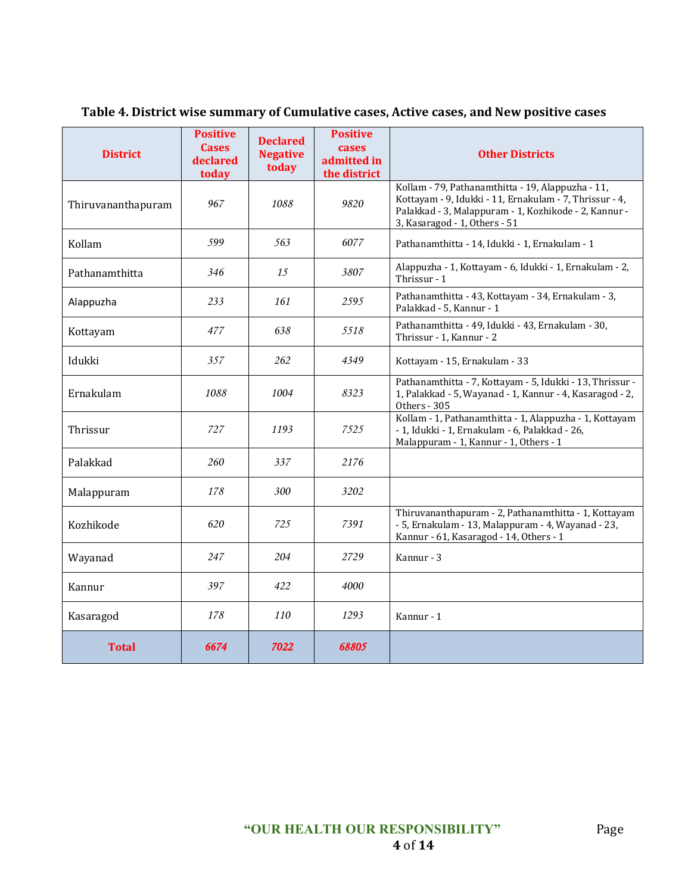| <b>District</b>    | <b>Positive</b><br><b>Cases</b><br>declared<br>today | <b>Declared</b><br><b>Negative</b><br>today | <b>Positive</b><br>cases<br>admitted in<br>the district | <b>Other Districts</b>                                                                                                                                                                                 |
|--------------------|------------------------------------------------------|---------------------------------------------|---------------------------------------------------------|--------------------------------------------------------------------------------------------------------------------------------------------------------------------------------------------------------|
| Thiruvananthapuram | 967                                                  | 1088                                        | 9820                                                    | Kollam - 79, Pathanamthitta - 19, Alappuzha - 11,<br>Kottayam - 9, Idukki - 11, Ernakulam - 7, Thrissur - 4,<br>Palakkad - 3, Malappuram - 1, Kozhikode - 2, Kannur -<br>3, Kasaragod - 1, Others - 51 |
| Kollam             | 599                                                  | 563                                         | 6077                                                    | Pathanamthitta - 14, Idukki - 1, Ernakulam - 1                                                                                                                                                         |
| Pathanamthitta     | 346                                                  | 15                                          | 3807                                                    | Alappuzha - 1, Kottayam - 6, Idukki - 1, Ernakulam - 2,<br>Thrissur - 1                                                                                                                                |
| Alappuzha          | 233                                                  | 161                                         | 2595                                                    | Pathanamthitta - 43, Kottayam - 34, Ernakulam - 3,<br>Palakkad - 5, Kannur - 1                                                                                                                         |
| Kottayam           | 477                                                  | 638                                         | 5518                                                    | Pathanamthitta - 49, Idukki - 43, Ernakulam - 30,<br>Thrissur - 1, Kannur - 2                                                                                                                          |
| Idukki             | 357                                                  | 262                                         | 4349                                                    | Kottayam - 15, Ernakulam - 33                                                                                                                                                                          |
| Ernakulam          | 1088                                                 | 1004                                        | 8323                                                    | Pathanamthitta - 7, Kottayam - 5, Idukki - 13, Thrissur -<br>1, Palakkad - 5, Wayanad - 1, Kannur - 4, Kasaragod - 2,<br>Others - 305                                                                  |
| Thrissur           | 727                                                  | 1193                                        | 7525                                                    | Kollam - 1, Pathanamthitta - 1, Alappuzha - 1, Kottayam<br>- 1, Idukki - 1, Ernakulam - 6, Palakkad - 26,<br>Malappuram - 1, Kannur - 1, Others - 1                                                    |
| Palakkad           | 260                                                  | 337                                         | 2176                                                    |                                                                                                                                                                                                        |
| Malappuram         | 178                                                  | 300                                         | 3202                                                    |                                                                                                                                                                                                        |
| Kozhikode          | 620                                                  | 725                                         | 7391                                                    | Thiruvananthapuram - 2, Pathanamthitta - 1, Kottayam<br>- 5, Ernakulam - 13, Malappuram - 4, Wayanad - 23,<br>Kannur - 61, Kasaragod - 14, Others - 1                                                  |
| Wayanad            | 247                                                  | 204                                         | 2729                                                    | Kannur - 3                                                                                                                                                                                             |
| Kannur             | 397                                                  | 422                                         | 4000                                                    |                                                                                                                                                                                                        |
| Kasaragod          | 178                                                  | 110                                         | 1293                                                    | Kannur - 1                                                                                                                                                                                             |
| <b>Total</b>       | 6674                                                 | 7022                                        | 68805                                                   |                                                                                                                                                                                                        |

#### **Table 4. District wise summary of Cumulative cases, Active cases, and New positive cases**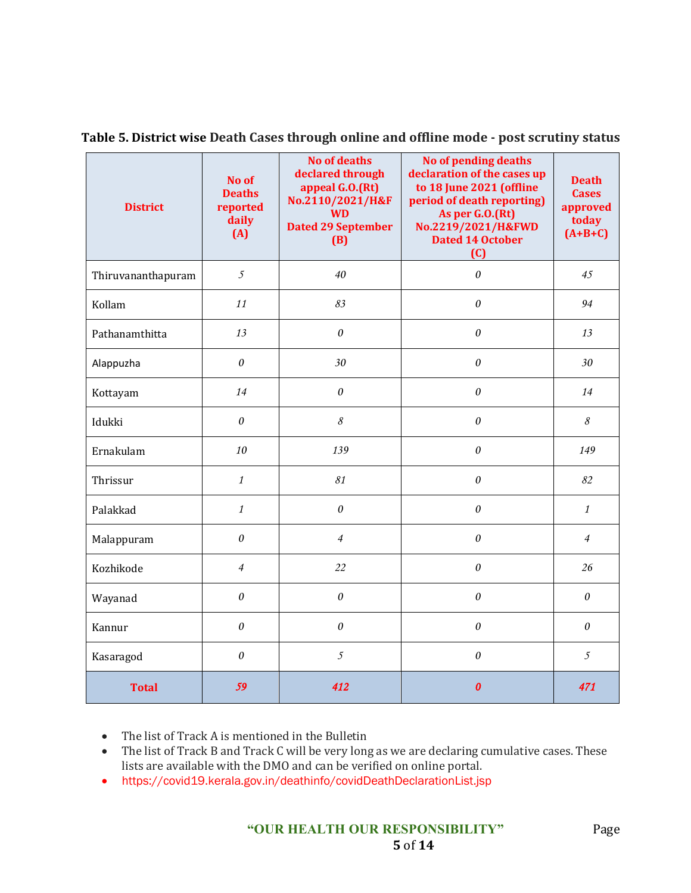| <b>District</b>    | No of<br><b>Deaths</b><br>reported<br>daily<br>(A) | <b>No of deaths</b><br>declared through<br>appeal G.O.(Rt)<br>No.2110/2021/H&F<br><b>WD</b><br><b>Dated 29 September</b><br>(B) | <b>No of pending deaths</b><br>declaration of the cases up<br>to 18 June 2021 (offline<br>period of death reporting)<br>As per G.O.(Rt)<br>No.2219/2021/H&FWD<br><b>Dated 14 October</b><br>(C) | <b>Death</b><br><b>Cases</b><br>approved<br>today<br>$(A+B+C)$ |
|--------------------|----------------------------------------------------|---------------------------------------------------------------------------------------------------------------------------------|-------------------------------------------------------------------------------------------------------------------------------------------------------------------------------------------------|----------------------------------------------------------------|
| Thiruvananthapuram | $\mathfrak{I}$                                     | 40                                                                                                                              | $\theta$                                                                                                                                                                                        | 45                                                             |
| Kollam             | 11                                                 | 83                                                                                                                              | $\theta$                                                                                                                                                                                        | 94                                                             |
| Pathanamthitta     | 13                                                 | $\boldsymbol{\theta}$                                                                                                           | $\theta$                                                                                                                                                                                        | 13                                                             |
| Alappuzha          | $\theta$                                           | 30                                                                                                                              | $\theta$                                                                                                                                                                                        | 30                                                             |
| Kottayam           | 14                                                 | $\theta$                                                                                                                        | $\theta$                                                                                                                                                                                        | 14                                                             |
| Idukki             | $\theta$                                           | $\mathcal S$                                                                                                                    | $\theta$                                                                                                                                                                                        | 8                                                              |
| Ernakulam          | 10                                                 | 139                                                                                                                             | $\theta$                                                                                                                                                                                        | 149                                                            |
| Thrissur           | $\mathcal{I}$                                      | 81                                                                                                                              | $\theta$                                                                                                                                                                                        | 82                                                             |
| Palakkad           | $\mathbf{1}$                                       | $\theta$                                                                                                                        | $\theta$                                                                                                                                                                                        | $\mathcal{I}$                                                  |
| Malappuram         | 0                                                  | $\overline{4}$                                                                                                                  | $\theta$                                                                                                                                                                                        | $\overline{4}$                                                 |
| Kozhikode          | $\overline{4}$                                     | 22                                                                                                                              | $\theta$                                                                                                                                                                                        | 26                                                             |
| Wayanad            | 0                                                  | $\boldsymbol{\theta}$                                                                                                           | $\theta$                                                                                                                                                                                        | $\boldsymbol{\theta}$                                          |
| Kannur             | $\theta$                                           | $\theta$                                                                                                                        | $\theta$                                                                                                                                                                                        | 0                                                              |
| Kasaragod          | $\theta$                                           | $\mathfrak{I}$                                                                                                                  | $\theta$                                                                                                                                                                                        | $\mathfrak{I}$                                                 |
| <b>Total</b>       | 59                                                 | 412                                                                                                                             | $\boldsymbol{0}$                                                                                                                                                                                | 471                                                            |

**Table 5. District wise Death Cases through online and offline mode - post scrutiny status**

• The list of Track A is mentioned in the Bulletin

- The list of Track B and Track C will be very long as we are declaring cumulative cases. These lists are available with the DMO and can be verified on online portal.
- https://covid19.kerala.gov.in/deathinfo/covidDeathDeclarationList.jsp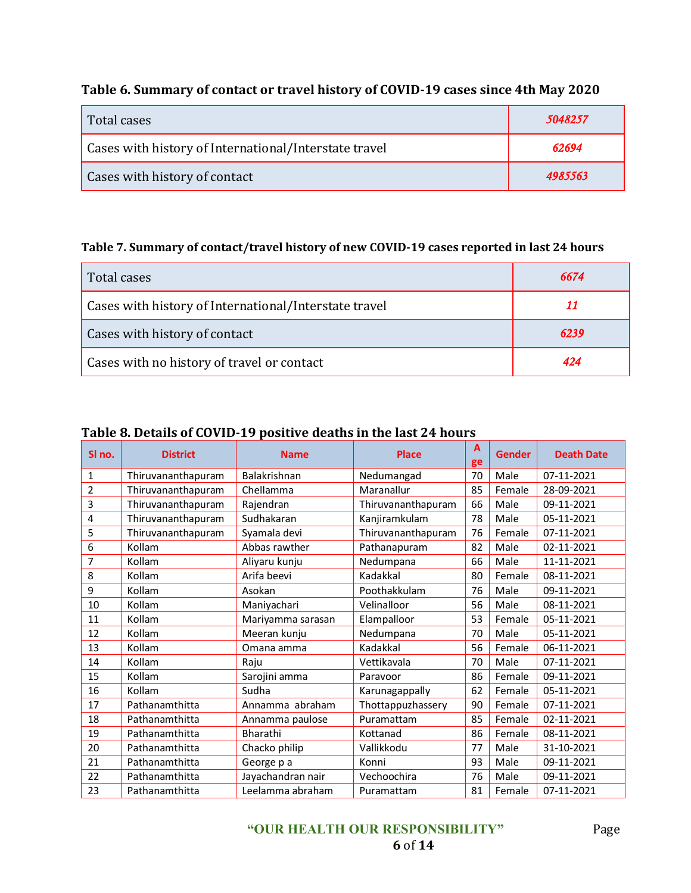## **Table 6. Summary of contact or travel history of COVID-19 cases since 4th May 2020**

| Total cases                                           | 5048257 |
|-------------------------------------------------------|---------|
| Cases with history of International/Interstate travel | 62694   |
| Cases with history of contact                         | 4985563 |

#### **Table 7. Summary of contact/travel history of new COVID-19 cases reported in last 24 hours**

| Total cases                                           | 6674 |
|-------------------------------------------------------|------|
| Cases with history of International/Interstate travel | 11   |
| Cases with history of contact                         | 6239 |
| Cases with no history of travel or contact            | 424  |

#### **Table 8. Details of COVID-19 positive deaths in the last 24 hours**

| SI no.         | <b>District</b>    | <b>Name</b>       | <b>Place</b>       | $\mathbf{A}$<br>ge | <b>Gender</b> | <b>Death Date</b> |
|----------------|--------------------|-------------------|--------------------|--------------------|---------------|-------------------|
| $\mathbf{1}$   | Thiruvananthapuram | Balakrishnan      | Nedumangad         | 70                 | Male          | 07-11-2021        |
| $\overline{2}$ | Thiruvananthapuram | Chellamma         | Maranallur         | 85                 | Female        | 28-09-2021        |
| 3              | Thiruvananthapuram | Rajendran         | Thiruvananthapuram | 66                 | Male          | 09-11-2021        |
| 4              | Thiruvananthapuram | Sudhakaran        | Kanjiramkulam      | 78                 | Male          | 05-11-2021        |
| 5              | Thiruvananthapuram | Syamala devi      | Thiruvananthapuram | 76                 | Female        | 07-11-2021        |
| 6              | Kollam             | Abbas rawther     | Pathanapuram       | 82                 | Male          | 02-11-2021        |
| 7              | Kollam             | Aliyaru kunju     | Nedumpana          | 66                 | Male          | 11-11-2021        |
| 8              | Kollam             | Arifa beevi       | Kadakkal           | 80                 | Female        | 08-11-2021        |
| 9              | Kollam             | Asokan            | Poothakkulam       | 76                 | Male          | 09-11-2021        |
| 10             | Kollam             | Maniyachari       | Velinalloor        | 56                 | Male          | 08-11-2021        |
| 11             | Kollam             | Mariyamma sarasan | Elampalloor        | 53                 | Female        | 05-11-2021        |
| 12             | Kollam             | Meeran kunju      | Nedumpana          | 70                 | Male          | 05-11-2021        |
| 13             | Kollam             | Omana amma        | Kadakkal           | 56                 | Female        | 06-11-2021        |
| 14             | Kollam             | Raju              | Vettikavala        | 70                 | Male          | 07-11-2021        |
| 15             | Kollam             | Sarojini amma     | Paravoor           | 86                 | Female        | 09-11-2021        |
| 16             | Kollam             | Sudha             | Karunagappally     | 62                 | Female        | 05-11-2021        |
| 17             | Pathanamthitta     | Annamma abraham   | Thottappuzhassery  | 90                 | Female        | 07-11-2021        |
| 18             | Pathanamthitta     | Annamma paulose   | Puramattam         | 85                 | Female        | 02-11-2021        |
| 19             | Pathanamthitta     | Bharathi          | Kottanad           | 86                 | Female        | 08-11-2021        |
| 20             | Pathanamthitta     | Chacko philip     | Vallikkodu         | 77                 | Male          | 31-10-2021        |
| 21             | Pathanamthitta     | George p a        | Konni              | 93                 | Male          | 09-11-2021        |
| 22             | Pathanamthitta     | Jayachandran nair | Vechoochira        | 76                 | Male          | 09-11-2021        |
| 23             | Pathanamthitta     | Leelamma abraham  | Puramattam         | 81                 | Female        | 07-11-2021        |

**"OUR HEALTH OUR RESPONSIBILITY"** Page of **14**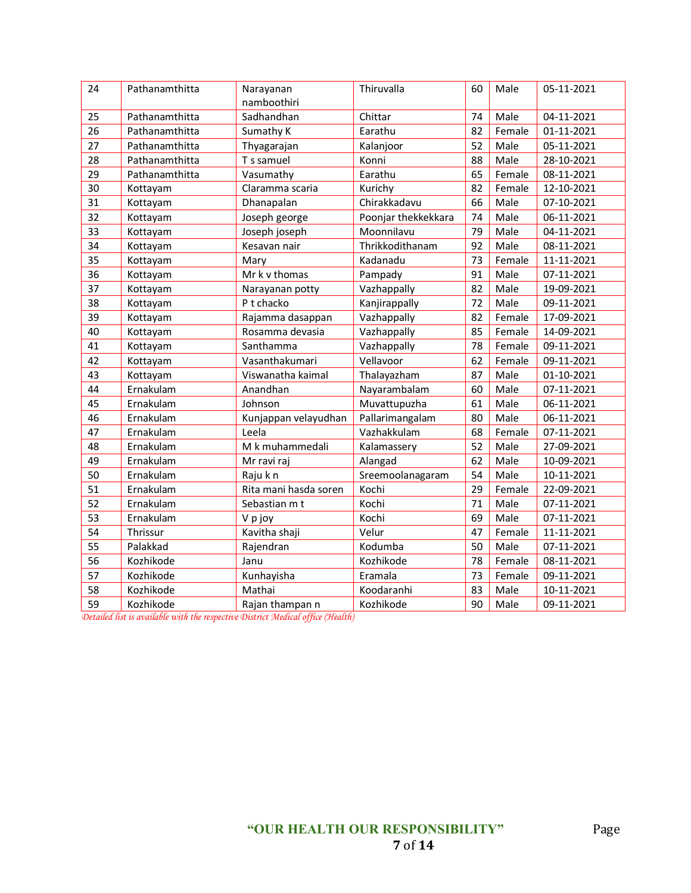| 24 | Pathanamthitta | Narayanan<br>namboothiri | Thiruvalla          | 60 | Male   | 05-11-2021 |
|----|----------------|--------------------------|---------------------|----|--------|------------|
| 25 | Pathanamthitta | Sadhandhan               | Chittar             | 74 | Male   | 04-11-2021 |
| 26 | Pathanamthitta | Sumathy K                | Earathu             | 82 | Female | 01-11-2021 |
| 27 | Pathanamthitta | Thyagarajan              | Kalanjoor           | 52 | Male   | 05-11-2021 |
| 28 | Pathanamthitta | T s samuel               | Konni               | 88 | Male   | 28-10-2021 |
| 29 | Pathanamthitta | Vasumathy                | Earathu             | 65 | Female | 08-11-2021 |
| 30 | Kottayam       | Claramma scaria          | Kurichy             | 82 | Female | 12-10-2021 |
| 31 | Kottayam       | Dhanapalan               | Chirakkadavu        | 66 | Male   | 07-10-2021 |
| 32 | Kottayam       | Joseph george            | Poonjar thekkekkara | 74 | Male   | 06-11-2021 |
| 33 | Kottayam       | Joseph joseph            | Moonnilavu          | 79 | Male   | 04-11-2021 |
| 34 | Kottayam       | Kesavan nair             | Thrikkodithanam     | 92 | Male   | 08-11-2021 |
| 35 | Kottayam       | Mary                     | Kadanadu            | 73 | Female | 11-11-2021 |
| 36 | Kottayam       | Mr k v thomas            | Pampady             | 91 | Male   | 07-11-2021 |
| 37 | Kottayam       | Narayanan potty          | Vazhappally         | 82 | Male   | 19-09-2021 |
| 38 | Kottayam       | P t chacko               | Kanjirappally       | 72 | Male   | 09-11-2021 |
| 39 | Kottayam       | Rajamma dasappan         | Vazhappally         | 82 | Female | 17-09-2021 |
| 40 | Kottayam       | Rosamma devasia          | Vazhappally         | 85 | Female | 14-09-2021 |
| 41 | Kottayam       | Santhamma                | Vazhappally         | 78 | Female | 09-11-2021 |
| 42 | Kottayam       | Vasanthakumari           | Vellavoor           | 62 | Female | 09-11-2021 |
| 43 | Kottayam       | Viswanatha kaimal        | Thalayazham         | 87 | Male   | 01-10-2021 |
| 44 | Ernakulam      | Anandhan                 | Nayarambalam        | 60 | Male   | 07-11-2021 |
| 45 | Ernakulam      | Johnson                  | Muvattupuzha        | 61 | Male   | 06-11-2021 |
| 46 | Ernakulam      | Kunjappan velayudhan     | Pallarimangalam     | 80 | Male   | 06-11-2021 |
| 47 | Ernakulam      | Leela                    | Vazhakkulam         | 68 | Female | 07-11-2021 |
| 48 | Ernakulam      | M k muhammedali          | Kalamassery         | 52 | Male   | 27-09-2021 |
| 49 | Ernakulam      | Mr ravi raj              | Alangad             | 62 | Male   | 10-09-2021 |
| 50 | Ernakulam      | Raju k n                 | Sreemoolanagaram    | 54 | Male   | 10-11-2021 |
| 51 | Ernakulam      | Rita mani hasda soren    | Kochi               | 29 | Female | 22-09-2021 |
| 52 | Ernakulam      | Sebastian m t            | Kochi               | 71 | Male   | 07-11-2021 |
| 53 | Ernakulam      | V p joy                  | Kochi               | 69 | Male   | 07-11-2021 |
| 54 | Thrissur       | Kavitha shaji            | Velur               | 47 | Female | 11-11-2021 |
| 55 | Palakkad       | Rajendran                | Kodumba             | 50 | Male   | 07-11-2021 |
| 56 | Kozhikode      | Janu                     | Kozhikode           | 78 | Female | 08-11-2021 |
| 57 | Kozhikode      | Kunhayisha               | Eramala             | 73 | Female | 09-11-2021 |
| 58 | Kozhikode      | Mathai                   | Koodaranhi          | 83 | Male   | 10-11-2021 |
| 59 | Kozhikode      | Rajan thampan n          | Kozhikode           | 90 | Male   | 09-11-2021 |

*Detailed list is available with the respective District Medical office (Health)*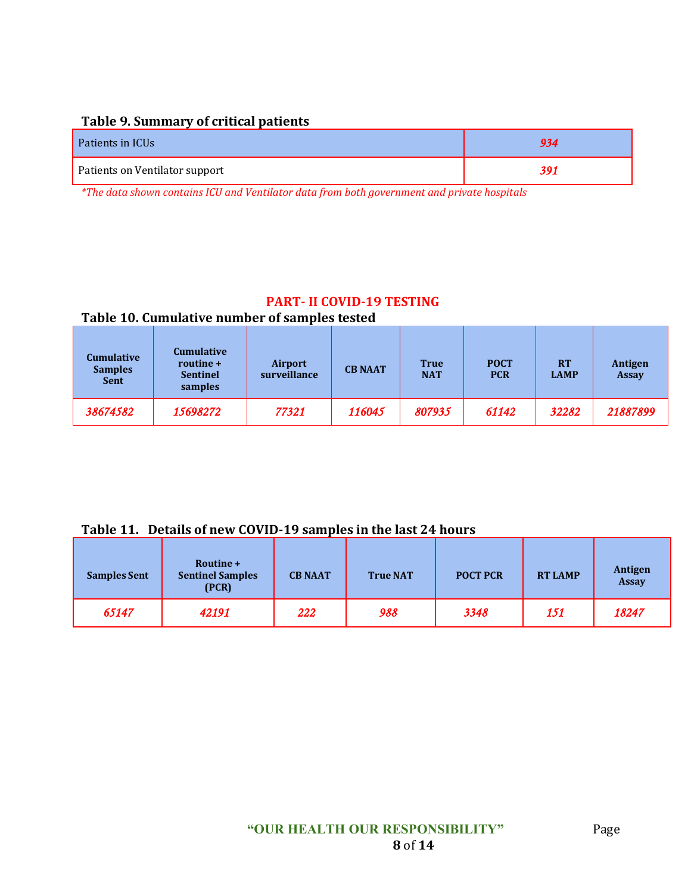#### **Table 9. Summary of critical patients**

| Patients in ICUs               | 934 |
|--------------------------------|-----|
| Patients on Ventilator support | 391 |

*\*The data shown contains ICU and Ventilator data from both government and private hospitals*

#### **PART- II COVID-19 TESTING**

#### **Table 10. Cumulative number of samples tested**

| <b>Cumulative</b><br><b>Samples</b><br><b>Sent</b> | <b>Cumulative</b><br>routine +<br><b>Sentinel</b><br>samples | Airport<br>surveillance | <b>CB NAAT</b> | <b>True</b><br><b>NAT</b> | <b>POCT</b><br><b>PCR</b> | <b>RT</b><br><b>LAMP</b> | <b>Antigen</b><br><b>Assay</b> |
|----------------------------------------------------|--------------------------------------------------------------|-------------------------|----------------|---------------------------|---------------------------|--------------------------|--------------------------------|
| 38674582                                           | 15698272                                                     | 77321                   | 116045         | 807935                    | 61142                     | 32282                    | 21887899                       |

#### **Table 11. Details of new COVID-19 samples in the last 24 hours**

| <b>Samples Sent</b> | Routine +<br><b>Sentinel Samples</b><br>(PCR) | <b>CB NAAT</b> | <b>True NAT</b> | <b>POCT PCR</b> | <b>RT LAMP</b> | Antigen<br><b>Assay</b> |
|---------------------|-----------------------------------------------|----------------|-----------------|-----------------|----------------|-------------------------|
| 65147               | 42191                                         | 222            | 988             | 3348            | 151            | 18247                   |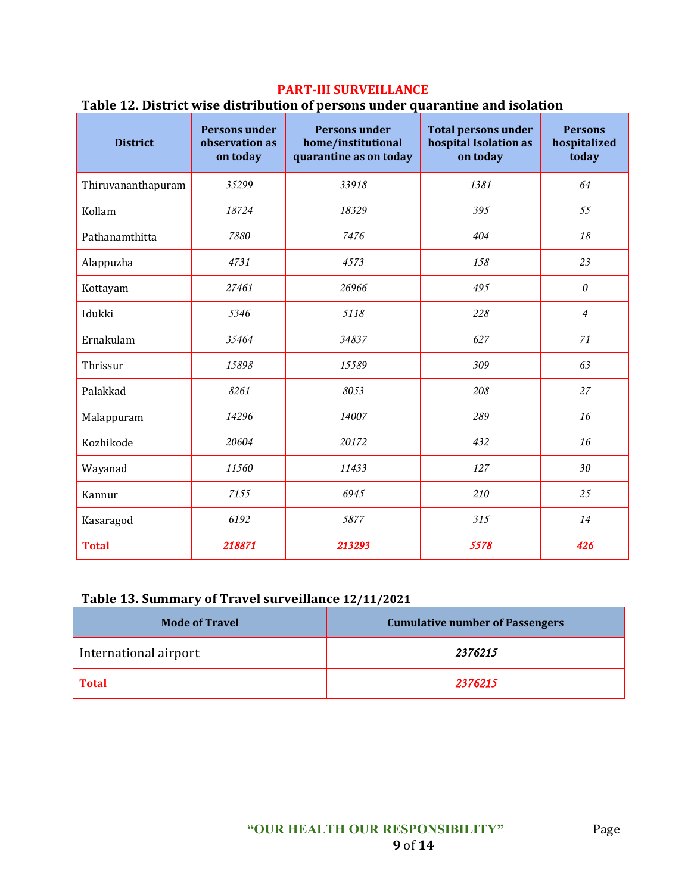#### **PART-III SURVEILLANCE**

#### **Table 12. District wise distribution of persons under quarantine and isolation**

| <b>District</b>    | <b>Persons under</b><br>observation as<br>on today | <b>Persons under</b><br>home/institutional<br>quarantine as on today | <b>Total persons under</b><br>hospital Isolation as<br>on today | <b>Persons</b><br>hospitalized<br>today |
|--------------------|----------------------------------------------------|----------------------------------------------------------------------|-----------------------------------------------------------------|-----------------------------------------|
| Thiruvananthapuram | 35299                                              | 33918                                                                | 1381                                                            | 64                                      |
| Kollam             | 18724                                              | 18329                                                                | 395                                                             | 55                                      |
| Pathanamthitta     | 7880                                               | 7476                                                                 | 404                                                             | 18                                      |
| Alappuzha          | 4731                                               | 4573                                                                 | 158                                                             | 23                                      |
| Kottayam           | 27461                                              | 26966                                                                | 495                                                             | $\theta$                                |
| Idukki             | 5346                                               | 5118                                                                 | 228                                                             | $\overline{4}$                          |
| Ernakulam          | 35464                                              | 34837                                                                | 627                                                             | 71                                      |
| Thrissur           | 15898                                              | 15589                                                                | 309                                                             | 63                                      |
| Palakkad           | 8261                                               | 8053                                                                 | 208                                                             | 27                                      |
| Malappuram         | 14296                                              | 14007                                                                | 289                                                             | 16                                      |
| Kozhikode          | 20604                                              | 20172                                                                | 432                                                             | 16                                      |
| Wayanad            | 11560                                              | 11433                                                                | 127                                                             | 30                                      |
| Kannur             | 7155                                               | 6945                                                                 | 210                                                             | 25                                      |
| Kasaragod          | 6192                                               | 5877                                                                 | 315                                                             | 14                                      |
| <b>Total</b>       | 218871                                             | 213293                                                               | 5578                                                            | 426                                     |

## **Table 13. Summary of Travel surveillance 12/11/2021**

| <b>Mode of Travel</b> | <b>Cumulative number of Passengers</b> |
|-----------------------|----------------------------------------|
| International airport | 2376215                                |
| <b>Total</b>          | 2376215                                |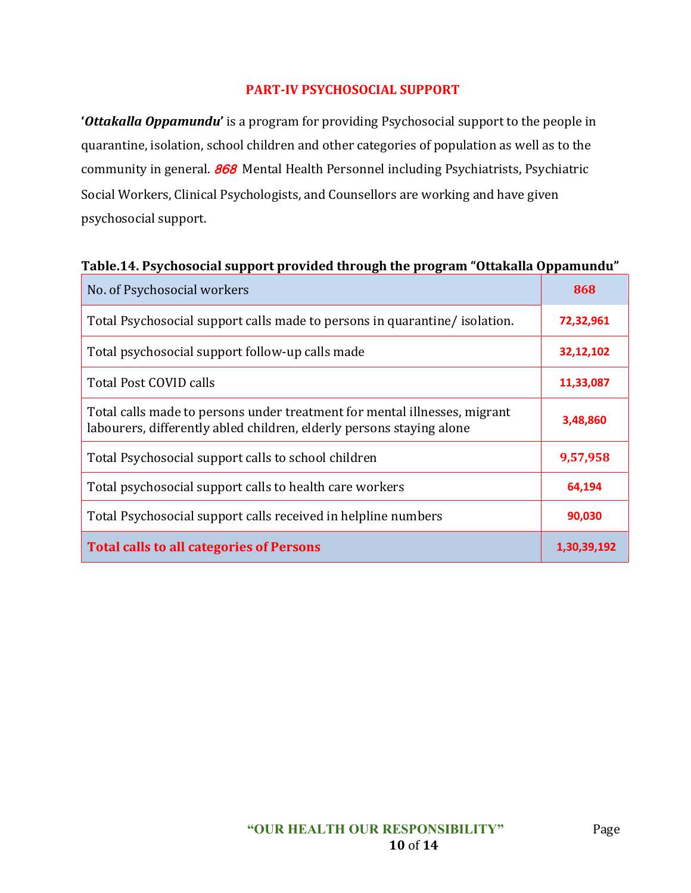#### **PART-IV PSYCHOSOCIAL SUPPORT**

**'***Ottakalla Oppamundu***'** is a program for providing Psychosocial support to the people in quarantine, isolation, school children and other categories of population as well as to the community in general. **868** Mental Health Personnel including Psychiatrists, Psychiatric Social Workers, Clinical Psychologists, and Counsellors are working and have given psychosocial support.

#### **Table.14. Psychosocial support provided through the program "Ottakalla Oppamundu"**

| No. of Psychosocial workers                                                                                                                       | 868         |
|---------------------------------------------------------------------------------------------------------------------------------------------------|-------------|
| Total Psychosocial support calls made to persons in quarantine/isolation.                                                                         | 72,32,961   |
| Total psychosocial support follow-up calls made                                                                                                   | 32,12,102   |
| Total Post COVID calls                                                                                                                            | 11,33,087   |
| Total calls made to persons under treatment for mental illnesses, migrant<br>labourers, differently abled children, elderly persons staying alone | 3,48,860    |
| Total Psychosocial support calls to school children                                                                                               | 9,57,958    |
| Total psychosocial support calls to health care workers                                                                                           | 64,194      |
| Total Psychosocial support calls received in helpline numbers                                                                                     | 90,030      |
| <b>Total calls to all categories of Persons</b>                                                                                                   | 1,30,39,192 |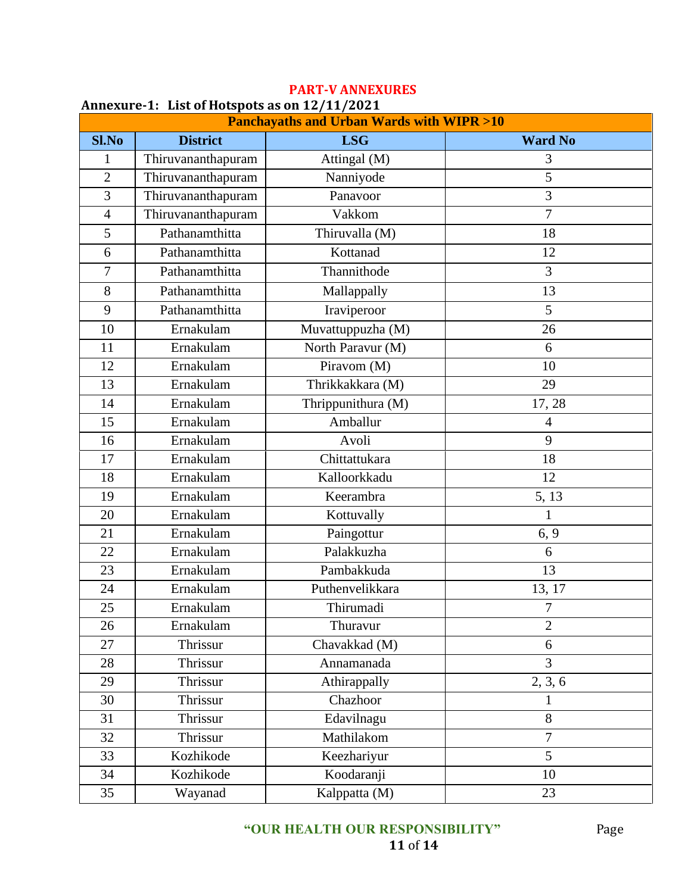| Annexure-1: List of Hotspots as on 12/11/2021       |                    |                    |                      |
|-----------------------------------------------------|--------------------|--------------------|----------------------|
| <b>Panchayaths and Urban Wards with WIPR &gt;10</b> |                    |                    |                      |
| <b>Sl.No</b>                                        | <b>District</b>    | <b>LSG</b>         | <b>Ward No</b>       |
| 1                                                   | Thiruvananthapuram | Attingal (M)       | 3                    |
| $\overline{2}$                                      | Thiruvananthapuram | Nanniyode          | 5                    |
| 3                                                   | Thiruvananthapuram | Panavoor           | 3                    |
| $\overline{4}$                                      | Thiruvananthapuram | Vakkom             | $\overline{7}$       |
| 5                                                   | Pathanamthitta     | Thiruvalla (M)     | 18                   |
| 6                                                   | Pathanamthitta     | Kottanad           | 12                   |
| $\overline{7}$                                      | Pathanamthitta     | Thannithode        | $\overline{3}$       |
| 8                                                   | Pathanamthitta     | Mallappally        | 13                   |
| 9                                                   | Pathanamthitta     | Iraviperoor        | 5                    |
| 10                                                  | Ernakulam          | Muvattuppuzha (M)  | 26                   |
| 11                                                  | Ernakulam          | North Paravur (M)  | 6                    |
| 12                                                  | Ernakulam          | Piravom (M)        | 10                   |
| 13                                                  | Ernakulam          | Thrikkakkara (M)   | 29                   |
| 14                                                  | Ernakulam          | Thrippunithura (M) | 17, 28               |
| 15                                                  | Ernakulam          | Amballur           | $\overline{4}$       |
| 16                                                  | Ernakulam          | Avoli              | 9                    |
| 17                                                  | Ernakulam          | Chittattukara      | 18                   |
| 18                                                  | Ernakulam          | Kalloorkkadu       | 12                   |
| 19                                                  | Ernakulam          | Keerambra          | 5, 13                |
| 20                                                  | Ernakulam          | Kottuvally         | 1                    |
| 21                                                  | Ernakulam          | Paingottur         | 6, 9                 |
| 22                                                  | Ernakulam          | Palakkuzha         | 6                    |
| 23                                                  | Ernakulam          | Pambakkuda         | 13                   |
| 24                                                  | Ernakulam          | Puthenvelikkara    | 13, 17               |
| 25                                                  | Ernakulam          | Thirumadi          | $\overline{7}$       |
| 26                                                  | Ernakulam          | Thuravur           | $\overline{2}$       |
| 27                                                  | Thrissur           | Chavakkad (M)      | 6                    |
| 28                                                  | Thrissur           | Annamanada         | $\overline{3}$       |
| 29                                                  | Thrissur           | Athirappally       | $\overline{2, 3, 6}$ |
| 30                                                  | Thrissur           | Chazhoor           | 1                    |
| 31                                                  | Thrissur           | Edavilnagu         | 8                    |
| 32                                                  | Thrissur           | Mathilakom         | $\overline{7}$       |
| 33                                                  | Kozhikode          | Keezhariyur        | 5                    |
| 34                                                  | Kozhikode          | Koodaranji         | 10                   |
| 35                                                  | Wayanad            | Kalppatta (M)      | 23                   |

# **PART-V ANNEXURES**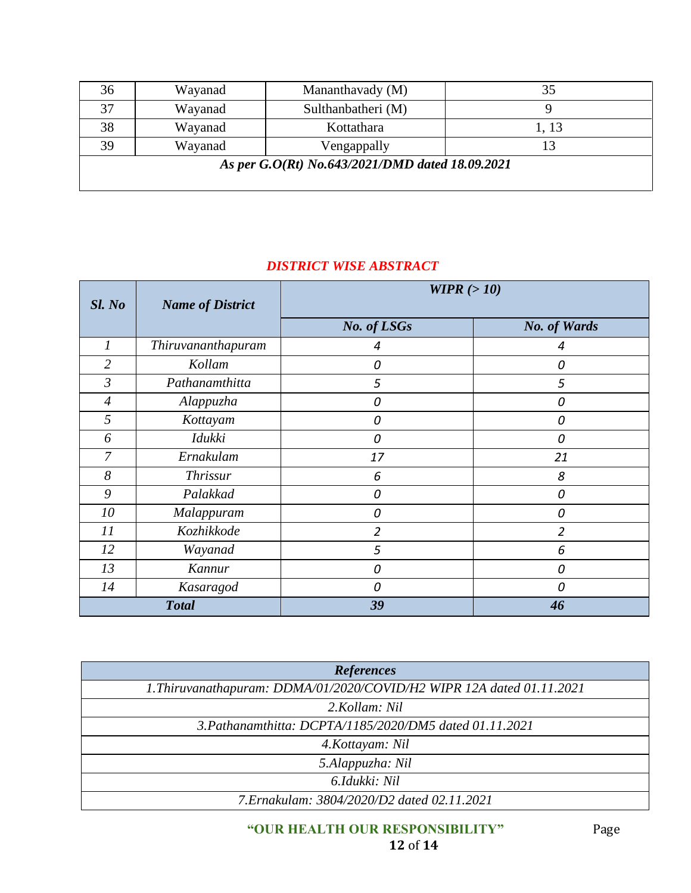| 36                                              | Wayanad | Mananthavady (M)   |       |
|-------------------------------------------------|---------|--------------------|-------|
| 37                                              | Wayanad | Sulthanbatheri (M) |       |
| 38                                              | Wayanad | Kottathara         | 1, 13 |
| 39                                              | Wayanad | Vengappally        |       |
| As per G.O(Rt) No.643/2021/DMD dated 18.09.2021 |         |                    |       |

## *DISTRICT WISE ABSTRACT*

| $SL$ No        | <b>Name of District</b> | WIPR $(>10)$   |                     |
|----------------|-------------------------|----------------|---------------------|
|                |                         | No. of LSGs    | <b>No. of Wards</b> |
| $\mathfrak{I}$ | Thiruvananthapuram      | 4              | 4                   |
| $\overline{2}$ | Kollam                  | 0              | 0                   |
| $\mathfrak{Z}$ | Pathanamthitta          | 5              | 5                   |
| $\overline{4}$ | Alappuzha               | 0              | 0                   |
| 5              | Kottayam                | 0              | 0                   |
| 6              | <i>Idukki</i>           | 0              | 0                   |
| $\overline{7}$ | Ernakulam               | 17             | 21                  |
| 8              | <b>Thrissur</b>         | 6              | 8                   |
| 9              | Palakkad                | 0              | 0                   |
| 10             | Malappuram              | 0              | 0                   |
| 11             | Kozhikkode              | $\overline{2}$ | $\overline{2}$      |
| 12             | Wayanad                 | 5              | 6                   |
| 13             | Kannur                  | 0              | 0                   |
| 14             | Kasaragod               | 0              | 0                   |
| <b>Total</b>   |                         | 39             | 46                  |

| <b>References</b>                                                     |  |  |
|-----------------------------------------------------------------------|--|--|
| 1. Thiruvanathapuram: DDMA/01/2020/COVID/H2 WIPR 12A dated 01.11.2021 |  |  |
| 2.Kollam: Nil                                                         |  |  |
| 3. Pathanamthitta: DCPTA/1185/2020/DM5 dated 01.11.2021               |  |  |
| 4. Kottayam: Nil                                                      |  |  |
| 5.Alappuzha: Nil                                                      |  |  |
| 6.Idukki: Nil                                                         |  |  |
| 7. Ernakulam: 3804/2020/D2 dated 02.11.2021                           |  |  |

#### **"OUR HEALTH OUR RESPONSIBILITY"** Page **12** of **14**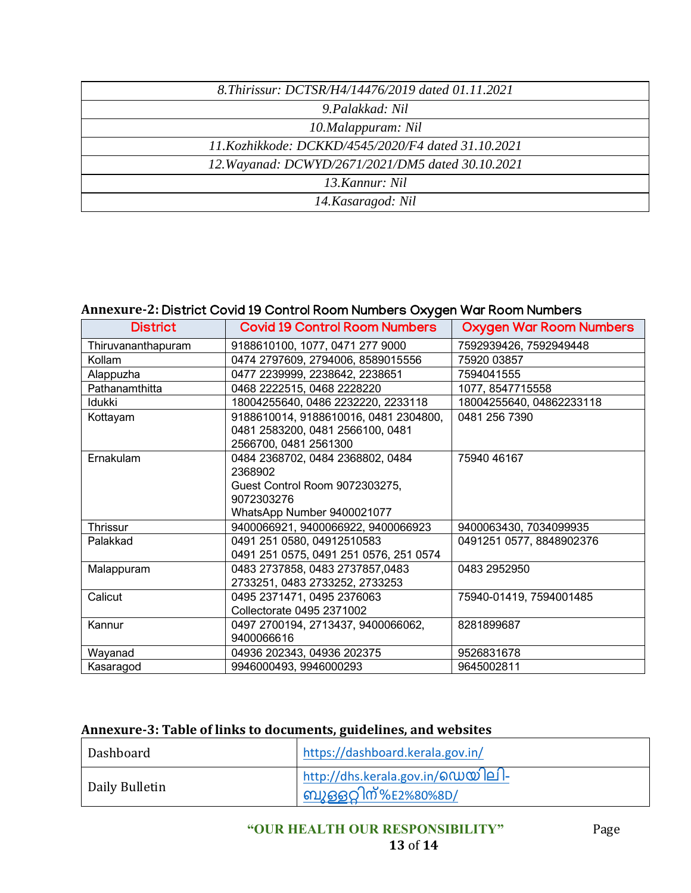| 8. Thirissur: DCTSR/H4/14476/2019 dated 01.11.2021 |  |  |
|----------------------------------------------------|--|--|
| 9. Palakkad: Nil                                   |  |  |
| 10.Malappuram: Nil                                 |  |  |
| 11.Kozhikkode: DCKKD/4545/2020/F4 dated 31.10.2021 |  |  |
| 12. Wayanad: DCWYD/2671/2021/DM5 dated 30.10.2021  |  |  |
| 13. Kannur: Nil                                    |  |  |
| 14. Kasaragod: Nil                                 |  |  |

### **Annexure-2:** District Covid 19 Control Room Numbers Oxygen War Room Numbers

| <b>District</b>    | <b>Covid 19 Control Room Numbers</b>   | <b>Oxygen War Room Numbers</b> |
|--------------------|----------------------------------------|--------------------------------|
| Thiruvananthapuram | 9188610100, 1077, 0471 277 9000        | 7592939426, 7592949448         |
| Kollam             | 0474 2797609, 2794006, 8589015556      | 75920 03857                    |
| Alappuzha          | 0477 2239999, 2238642, 2238651         | 7594041555                     |
| Pathanamthitta     | 0468 2222515, 0468 2228220             | 1077, 8547715558               |
| Idukki             | 18004255640, 0486 2232220, 2233118     | 18004255640, 04862233118       |
| Kottayam           | 9188610014, 9188610016, 0481 2304800,  | 0481 256 7390                  |
|                    | 0481 2583200, 0481 2566100, 0481       |                                |
|                    | 2566700, 0481 2561300                  |                                |
| Ernakulam          | 0484 2368702, 0484 2368802, 0484       | 75940 46167                    |
|                    | 2368902                                |                                |
|                    | Guest Control Room 9072303275,         |                                |
|                    | 9072303276                             |                                |
|                    | WhatsApp Number 9400021077             |                                |
| Thrissur           | 9400066921, 9400066922, 9400066923     | 9400063430, 7034099935         |
| Palakkad           | 0491 251 0580, 04912510583             | 0491251 0577, 8848902376       |
|                    | 0491 251 0575, 0491 251 0576, 251 0574 |                                |
| Malappuram         | 0483 2737858, 0483 2737857,0483        | 0483 2952950                   |
|                    | 2733251, 0483 2733252, 2733253         |                                |
| Calicut            | 0495 2371471, 0495 2376063             | 75940-01419, 7594001485        |
|                    | Collectorate 0495 2371002              |                                |
| Kannur             | 0497 2700194, 2713437, 9400066062,     | 8281899687                     |
|                    | 9400066616                             |                                |
| Wayanad            | 04936 202343, 04936 202375             | 9526831678                     |
| Kasaragod          | 9946000493, 9946000293                 | 9645002811                     |

## **Annexure-3: Table of links to documents, guidelines, and websites**

| Dashboard      | https://dashboard.kerala.gov.in/                                           |
|----------------|----------------------------------------------------------------------------|
| Daily Bulletin | <u>http://dhs.kerala.gov.in/ഡെയിലി-</u><br><u>ിബുഒ</u> ട്ടറ്റിന്%E2%80%8D/ |